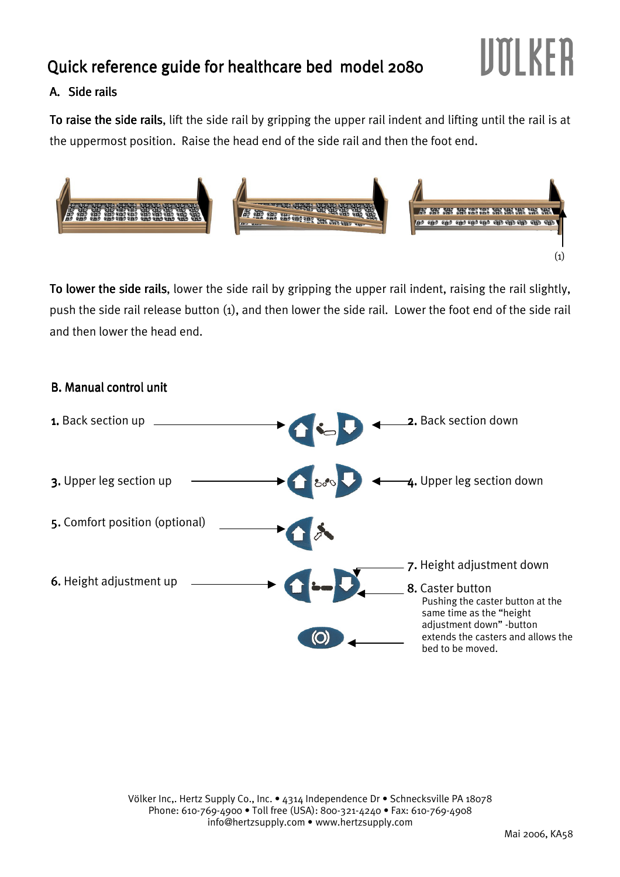# Quick reference guide for healthcare bed model 2080

## A. Side rails

To raise the side rails, lift the side rail by gripping the upper rail indent and lifting until the rail is at the uppermost position. Raise the head end of the side rail and then the foot end.



To lower the side rails, lower the side rail by gripping the upper rail indent, raising the rail slightly, push the side rail release button (1), and then lower the side rail. Lower the foot end of the side rail and then lower the head end.